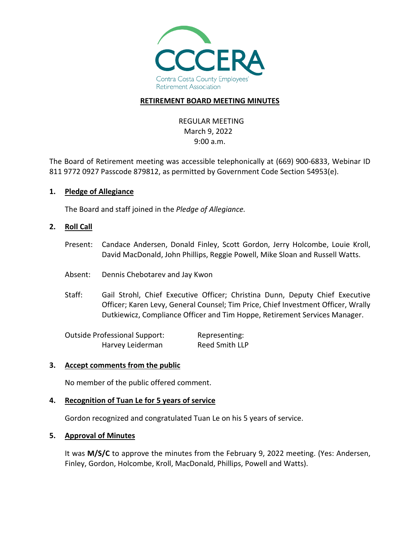

#### **RETIREMENT BOARD MEETING MINUTES**

# REGULAR MEETING March 9, 2022 9:00 a.m.

The Board of Retirement meeting was accessible telephonically at (669) 900-6833, Webinar ID 811 9772 0927 Passcode 879812, as permitted by Government Code Section 54953(e).

#### **1. Pledge of Allegiance**

The Board and staff joined in the *Pledge of Allegiance.*

#### **2. Roll Call**

- Present: Candace Andersen, Donald Finley, Scott Gordon, Jerry Holcombe, Louie Kroll, David MacDonald, John Phillips, Reggie Powell, Mike Sloan and Russell Watts.
- Absent: Dennis Chebotarev and Jay Kwon
- Staff: Gail Strohl, Chief Executive Officer; Christina Dunn, Deputy Chief Executive Officer; Karen Levy, General Counsel; Tim Price, Chief Investment Officer, Wrally Dutkiewicz, Compliance Officer and Tim Hoppe, Retirement Services Manager.

Outside Professional Support: Representing: Harvey Leiderman Reed Smith LLP

#### **3. Accept comments from the public**

No member of the public offered comment.

## **4. Recognition of Tuan Le for 5 years of service**

Gordon recognized and congratulated Tuan Le on his 5 years of service.

#### **5. Approval of Minutes**

It was **M/S/C** to approve the minutes from the February 9, 2022 meeting. (Yes: Andersen, Finley, Gordon, Holcombe, Kroll, MacDonald, Phillips, Powell and Watts).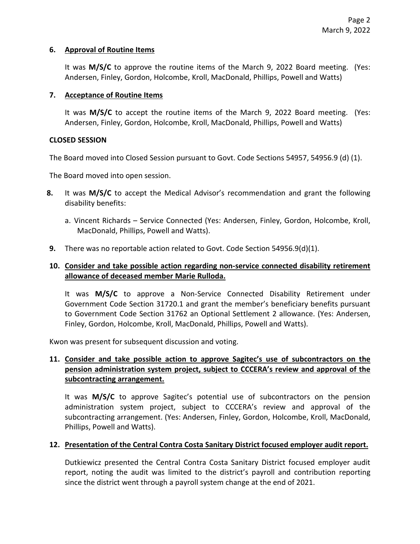## **6. Approval of Routine Items**

It was **M/S/C** to approve the routine items of the March 9, 2022 Board meeting. (Yes: Andersen, Finley, Gordon, Holcombe, Kroll, MacDonald, Phillips, Powell and Watts)

## **7. Acceptance of Routine Items**

It was **M/S/C** to accept the routine items of the March 9, 2022 Board meeting. (Yes: Andersen, Finley, Gordon, Holcombe, Kroll, MacDonald, Phillips, Powell and Watts)

## **CLOSED SESSION**

The Board moved into Closed Session pursuant to Govt. Code Sections 54957, 54956.9 (d) (1).

The Board moved into open session.

- **8.** It was **M/S/C** to accept the Medical Advisor's recommendation and grant the following disability benefits:
	- a. Vincent Richards Service Connected (Yes: Andersen, Finley, Gordon, Holcombe, Kroll, MacDonald, Phillips, Powell and Watts).
- **9.** There was no reportable action related to Govt. Code Section 54956.9(d)(1).

## **10. Consider and take possible action regarding non-service connected disability retirement allowance of deceased member Marie Rulloda.**

It was **M/S/C** to approve a Non-Service Connected Disability Retirement under Government Code Section 31720.1 and grant the member's beneficiary benefits pursuant to Government Code Section 31762 an Optional Settlement 2 allowance. (Yes: Andersen, Finley, Gordon, Holcombe, Kroll, MacDonald, Phillips, Powell and Watts).

Kwon was present for subsequent discussion and voting.

# **11. Consider and take possible action to approve Sagitec's use of subcontractors on the pension administration system project, subject to CCCERA's review and approval of the subcontracting arrangement.**

It was **M/S/C** to approve Sagitec's potential use of subcontractors on the pension administration system project, subject to CCCERA's review and approval of the subcontracting arrangement. (Yes: Andersen, Finley, Gordon, Holcombe, Kroll, MacDonald, Phillips, Powell and Watts).

# **12. Presentation of the Central Contra Costa Sanitary District focused employer audit report.**

Dutkiewicz presented the Central Contra Costa Sanitary District focused employer audit report, noting the audit was limited to the district's payroll and contribution reporting since the district went through a payroll system change at the end of 2021.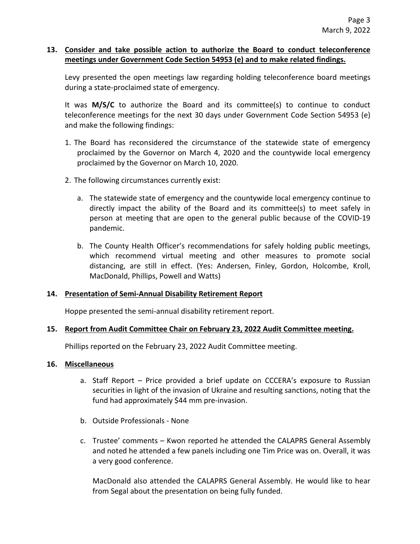## **13. Consider and take possible action to authorize the Board to conduct teleconference meetings under Government Code Section 54953 (e) and to make related findings.**

Levy presented the open meetings law regarding holding teleconference board meetings during a state-proclaimed state of emergency.

It was **M/S/C** to authorize the Board and its committee(s) to continue to conduct teleconference meetings for the next 30 days under Government Code Section 54953 (e) and make the following findings:

- 1. The Board has reconsidered the circumstance of the statewide state of emergency proclaimed by the Governor on March 4, 2020 and the countywide local emergency proclaimed by the Governor on March 10, 2020.
- 2. The following circumstances currently exist:
	- a. The statewide state of emergency and the countywide local emergency continue to directly impact the ability of the Board and its committee(s) to meet safely in person at meeting that are open to the general public because of the COVID-19 pandemic.
	- b. The County Health Officer's recommendations for safely holding public meetings, which recommend virtual meeting and other measures to promote social distancing, are still in effect. (Yes: Andersen, Finley, Gordon, Holcombe, Kroll, MacDonald, Phillips, Powell and Watts)

## **14. Presentation of Semi-Annual Disability Retirement Report**

Hoppe presented the semi-annual disability retirement report.

## **15. Report from Audit Committee Chair on February 23, 2022 Audit Committee meeting.**

Phillips reported on the February 23, 2022 Audit Committee meeting.

## **16. Miscellaneous**

- a. Staff Report Price provided a brief update on CCCERA's exposure to Russian securities in light of the invasion of Ukraine and resulting sanctions, noting that the fund had approximately \$44 mm pre-invasion.
- b. Outside Professionals None
- c. Trustee' comments Kwon reported he attended the CALAPRS General Assembly and noted he attended a few panels including one Tim Price was on. Overall, it was a very good conference.

MacDonald also attended the CALAPRS General Assembly. He would like to hear from Segal about the presentation on being fully funded.